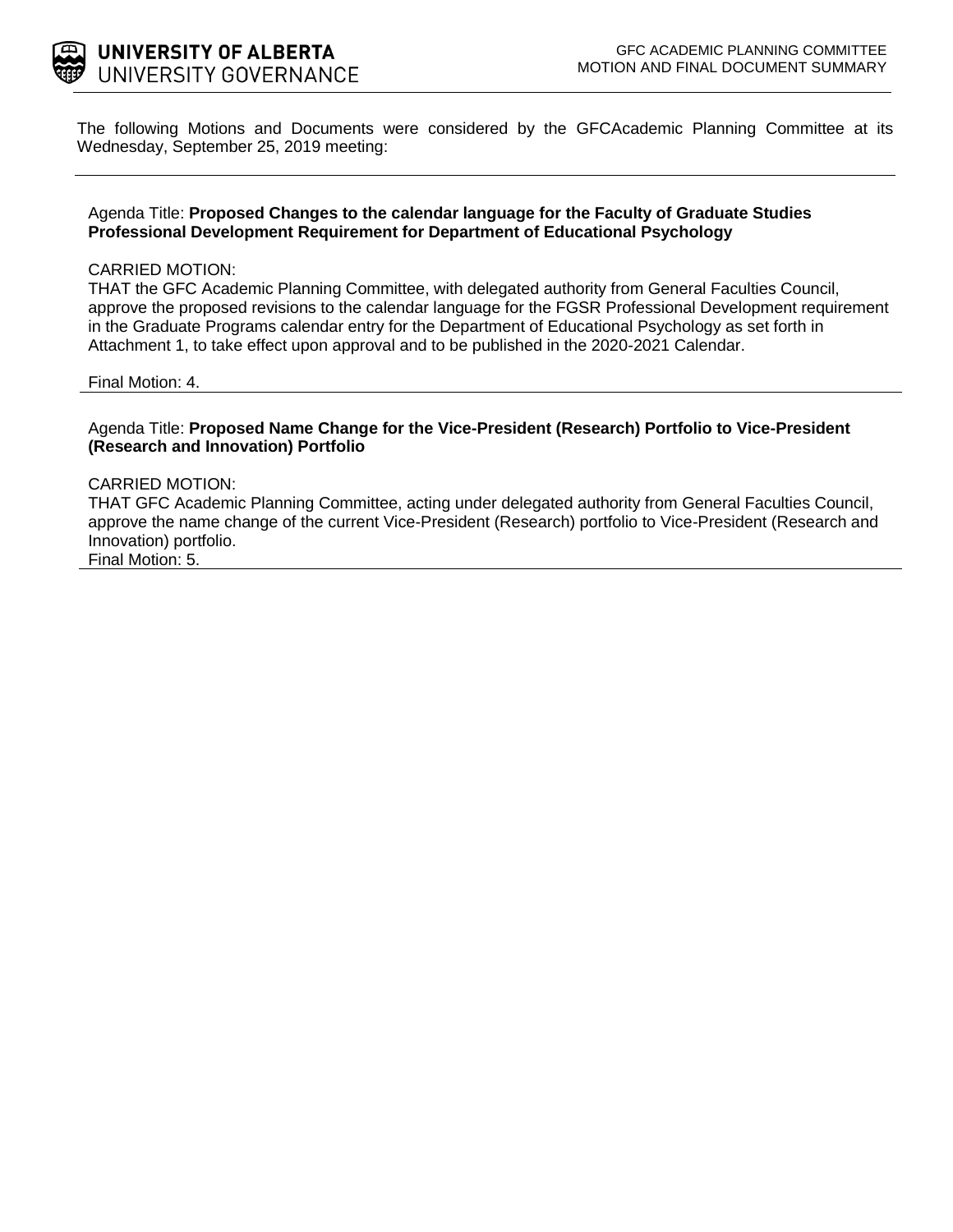

The following Motions and Documents were considered by the GFCAcademic Planning Committee at its Wednesday, September 25, 2019 meeting:

### Agenda Title: **Proposed Changes to the calendar language for the Faculty of Graduate Studies Professional Development Requirement for Department of Educational Psychology**

### CARRIED MOTION:

THAT the GFC Academic Planning Committee, with delegated authority from General Faculties Council, approve the proposed revisions to the calendar language for the FGSR Professional Development requirement in the Graduate Programs calendar entry for the Department of Educational Psychology as set forth in Attachment 1, to take effect upon approval and to be published in the 2020-2021 Calendar.

#### Final Motion: 4.

Agenda Title: **Proposed Name Change for the Vice-President (Research) Portfolio to Vice-President (Research and Innovation) Portfolio**

#### CARRIED MOTION:

THAT GFC Academic Planning Committee, acting under delegated authority from General Faculties Council, approve the name change of the current Vice-President (Research) portfolio to Vice-President (Research and Innovation) portfolio. Final Motion: 5.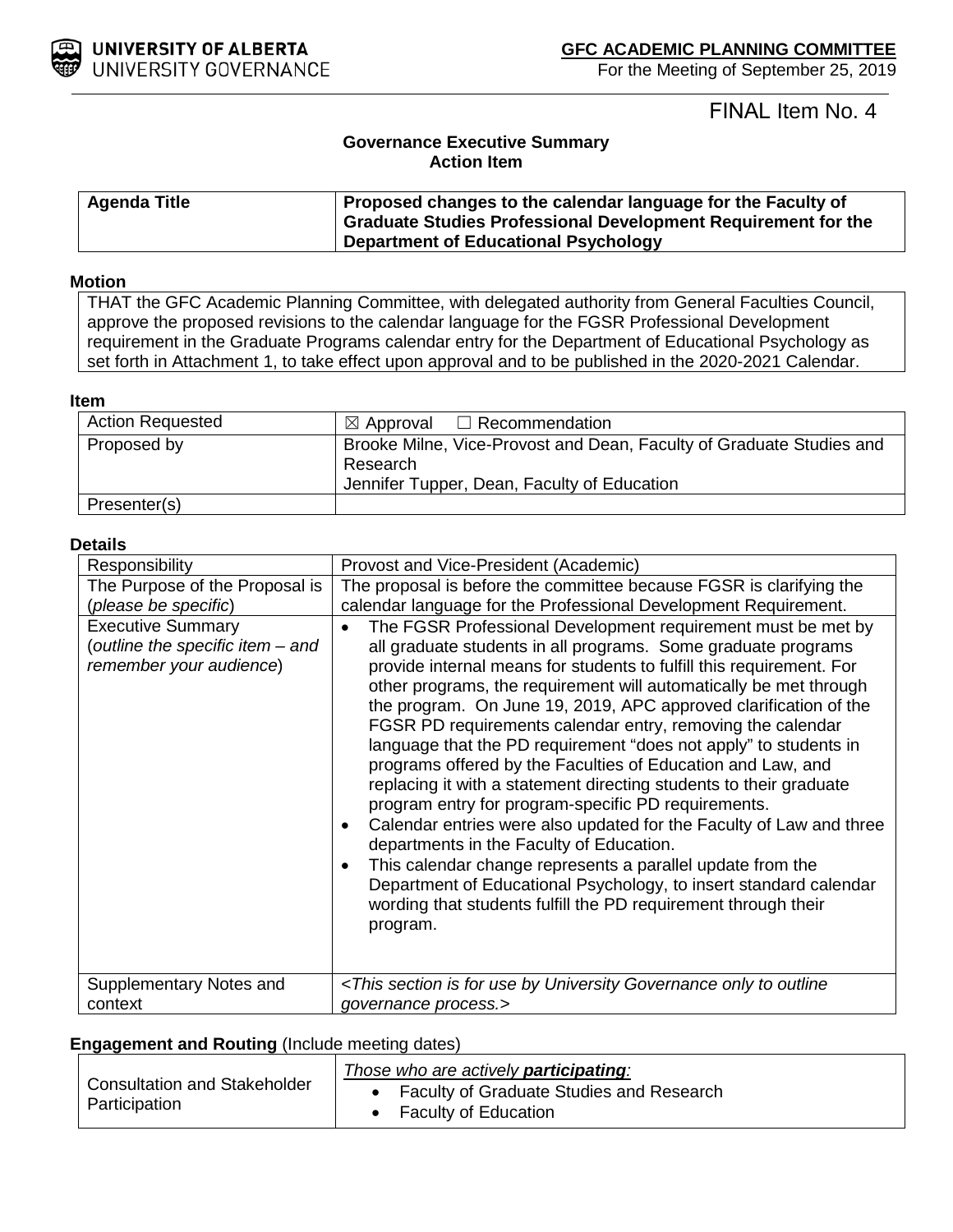

For the Meeting of September 25, 2019

# FINAL Item No. 4

# **Governance Executive Summary Action Item**

| <b>Agenda Title</b> | Proposed changes to the calendar language for the Faculty of  |
|---------------------|---------------------------------------------------------------|
|                     | Graduate Studies Professional Development Requirement for the |
|                     | <b>Department of Educational Psychology</b>                   |

# **Motion**

THAT the GFC Academic Planning Committee, with delegated authority from General Faculties Council, approve the proposed revisions to the calendar language for the FGSR Professional Development requirement in the Graduate Programs calendar entry for the Department of Educational Psychology as set forth in Attachment 1, to take effect upon approval and to be published in the 2020-2021 Calendar.

## **Item**

| <b>Action Requested</b> | $\boxtimes$ Approval $\Box$ Recommendation                                                                                      |
|-------------------------|---------------------------------------------------------------------------------------------------------------------------------|
| Proposed by             | Brooke Milne, Vice-Provost and Dean, Faculty of Graduate Studies and<br>Research<br>Jennifer Tupper, Dean, Faculty of Education |
| Presenter(s)            |                                                                                                                                 |

### **Details**

| Responsibility                                                                                                                                    | Provost and Vice-President (Academic)                                                                                                                                                                                                                                                                                                                                                                                                                                                                                                                                                                                                                                                                                                                                                                                                                                                                                                                                                                                                                                                                                                                                                             |
|---------------------------------------------------------------------------------------------------------------------------------------------------|---------------------------------------------------------------------------------------------------------------------------------------------------------------------------------------------------------------------------------------------------------------------------------------------------------------------------------------------------------------------------------------------------------------------------------------------------------------------------------------------------------------------------------------------------------------------------------------------------------------------------------------------------------------------------------------------------------------------------------------------------------------------------------------------------------------------------------------------------------------------------------------------------------------------------------------------------------------------------------------------------------------------------------------------------------------------------------------------------------------------------------------------------------------------------------------------------|
| The Purpose of the Proposal is<br>(please be specific)<br><b>Executive Summary</b><br>(outline the specific item - and<br>remember your audience) | The proposal is before the committee because FGSR is clarifying the<br>calendar language for the Professional Development Requirement.<br>The FGSR Professional Development requirement must be met by<br>$\bullet$<br>all graduate students in all programs. Some graduate programs<br>provide internal means for students to fulfill this requirement. For<br>other programs, the requirement will automatically be met through<br>the program. On June 19, 2019, APC approved clarification of the<br>FGSR PD requirements calendar entry, removing the calendar<br>language that the PD requirement "does not apply" to students in<br>programs offered by the Faculties of Education and Law, and<br>replacing it with a statement directing students to their graduate<br>program entry for program-specific PD requirements.<br>Calendar entries were also updated for the Faculty of Law and three<br>$\bullet$<br>departments in the Faculty of Education.<br>This calendar change represents a parallel update from the<br>$\bullet$<br>Department of Educational Psychology, to insert standard calendar<br>wording that students fulfill the PD requirement through their<br>program. |
| Supplementary Notes and<br>context                                                                                                                | <this by="" for="" governance="" is="" only="" outline<br="" section="" to="" university="" use="">governance process.&gt;</this>                                                                                                                                                                                                                                                                                                                                                                                                                                                                                                                                                                                                                                                                                                                                                                                                                                                                                                                                                                                                                                                                 |

## **Engagement and Routing** (Include meeting dates)

| <b>Consultation and Stakeholder</b><br>Participation | Those who are actively <b>participating</b> : |
|------------------------------------------------------|-----------------------------------------------|
|                                                      | Faculty of Graduate Studies and Research      |
|                                                      | <b>Faculty of Education</b>                   |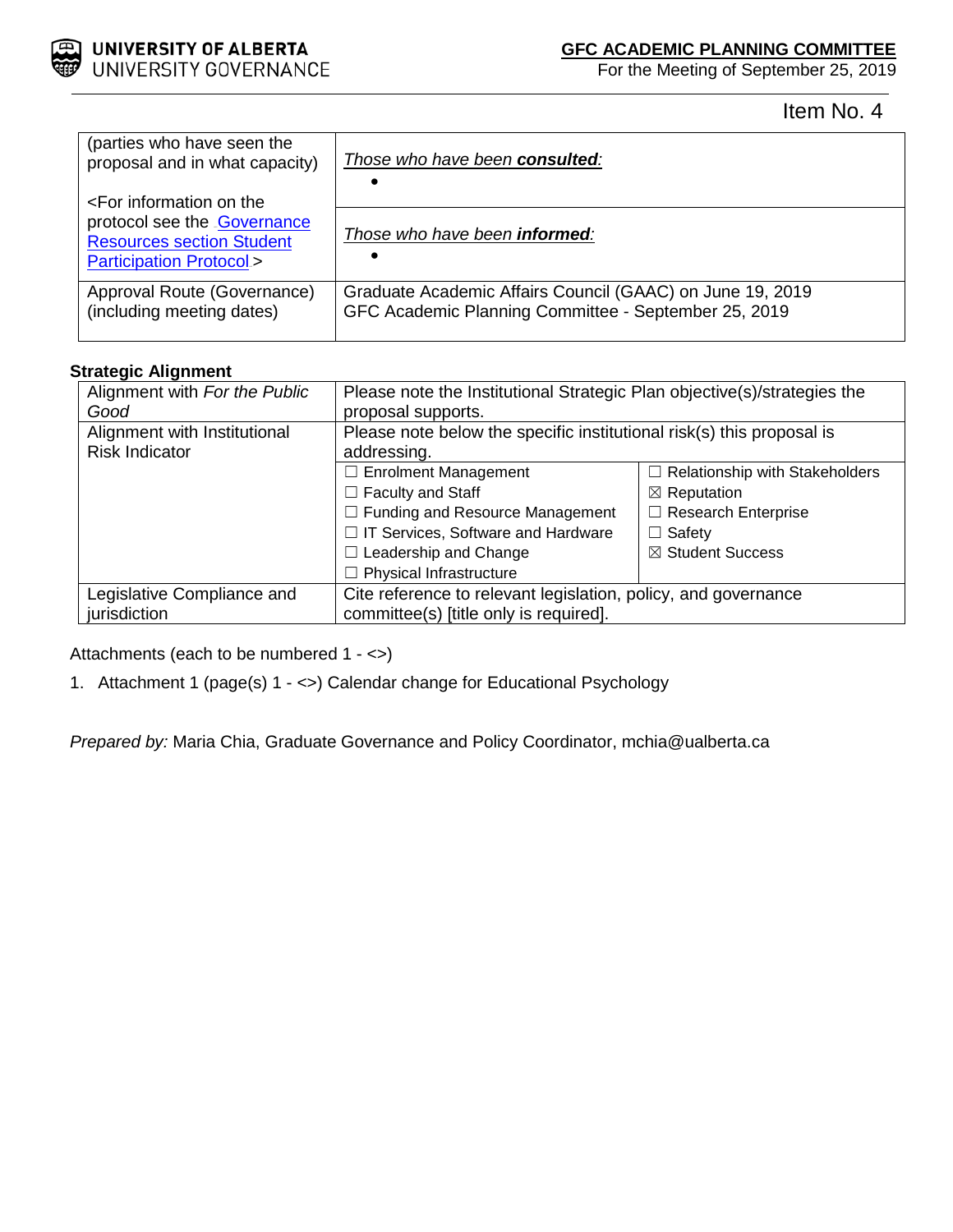

For the Meeting of September 25, 2019

Item No. 4

| (parties who have seen the<br>proposal and in what capacity)                                         | Those who have been consulted:                                                                                    |
|------------------------------------------------------------------------------------------------------|-------------------------------------------------------------------------------------------------------------------|
| <for information="" on="" td="" the<=""><td></td></for>                                              |                                                                                                                   |
| protocol see the Governance<br><b>Resources section Student</b><br><b>Participation Protocol&gt;</b> | Those who have been <b>informed</b> :                                                                             |
| Approval Route (Governance)<br>(including meeting dates)                                             | Graduate Academic Affairs Council (GAAC) on June 19, 2019<br>GFC Academic Planning Committee - September 25, 2019 |

# **Strategic Alignment**

| Alignment with For the Public | Please note the Institutional Strategic Plan objective(s)/strategies the |                                       |
|-------------------------------|--------------------------------------------------------------------------|---------------------------------------|
| Good                          | proposal supports.                                                       |                                       |
| Alignment with Institutional  | Please note below the specific institutional risk(s) this proposal is    |                                       |
| <b>Risk Indicator</b>         | addressing.                                                              |                                       |
|                               | $\Box$ Enrolment Management                                              | $\Box$ Relationship with Stakeholders |
|                               | $\Box$ Faculty and Staff                                                 | $\boxtimes$ Reputation                |
|                               | $\Box$ Funding and Resource Management                                   | $\Box$ Research Enterprise            |
|                               | □ IT Services, Software and Hardware                                     | $\Box$ Safety                         |
|                               | $\Box$ Leadership and Change                                             | ⊠ Student Success                     |
|                               | $\Box$ Physical Infrastructure                                           |                                       |
| Legislative Compliance and    | Cite reference to relevant legislation, policy, and governance           |                                       |
| jurisdiction                  | committee(s) [title only is required].                                   |                                       |

Attachments (each to be numbered 1 - <>)

1. Attachment 1 (page(s) 1 - <>) Calendar change for Educational Psychology

*Prepared by:* Maria Chia, Graduate Governance and Policy Coordinator, mchia@ualberta.ca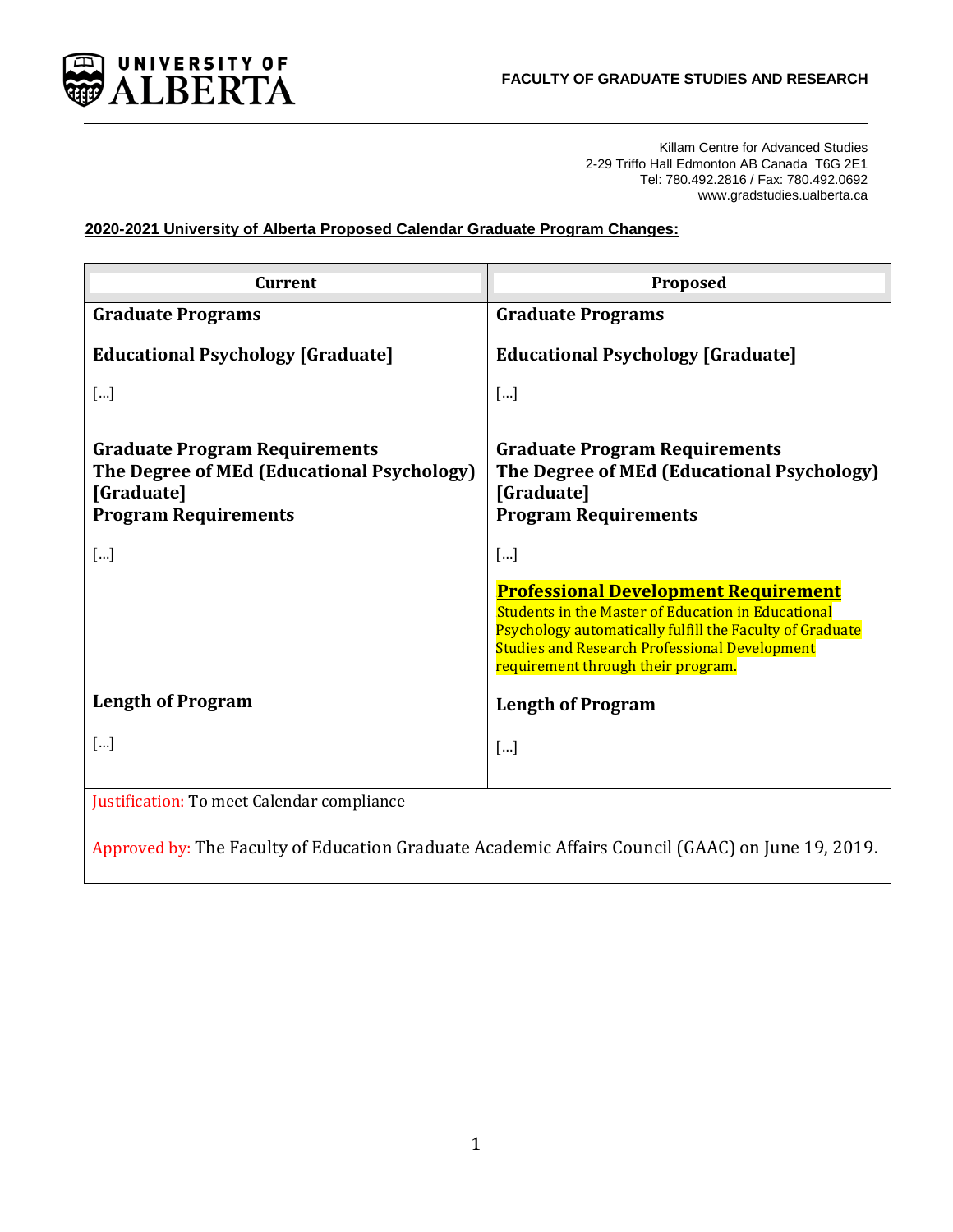

Killam Centre for Advanced Studies 2-29 Triffo Hall Edmonton AB Canada T6G 2E1 Tel: 780.492.2816 / Fax: 780.492.0692 www.gradstudies.ualberta.ca

2020-2021 University of Alberta Proposed Calendar Graduate Program Changes:

| <b>Current</b>                                                                                                                  | Proposed                                                                                                                                                                                                                                                           |
|---------------------------------------------------------------------------------------------------------------------------------|--------------------------------------------------------------------------------------------------------------------------------------------------------------------------------------------------------------------------------------------------------------------|
| <b>Graduate Programs</b>                                                                                                        | <b>Graduate Programs</b>                                                                                                                                                                                                                                           |
| <b>Educational Psychology [Graduate]</b>                                                                                        | <b>Educational Psychology [Graduate]</b>                                                                                                                                                                                                                           |
| $[]$                                                                                                                            | []                                                                                                                                                                                                                                                                 |
| <b>Graduate Program Requirements</b><br>The Degree of MEd (Educational Psychology)<br>[Graduate]<br><b>Program Requirements</b> | <b>Graduate Program Requirements</b><br>The Degree of MEd (Educational Psychology)<br>[Graduate]<br><b>Program Requirements</b>                                                                                                                                    |
| []                                                                                                                              | $\lceil  \rceil$                                                                                                                                                                                                                                                   |
|                                                                                                                                 | <b>Professional Development Requirement</b><br><b>Students in the Master of Education in Educational</b><br>Psychology automatically fulfill the Faculty of Graduate<br><b>Studies and Research Professional Development</b><br>requirement through their program. |
| <b>Length of Program</b>                                                                                                        | <b>Length of Program</b>                                                                                                                                                                                                                                           |
| $\lceil  \rceil$                                                                                                                | $\lceil  \rceil$                                                                                                                                                                                                                                                   |
| Justification: To meet Calendar compliance                                                                                      |                                                                                                                                                                                                                                                                    |

Approved by: The Faculty of Education Graduate Academic Affairs Council (GAAC) on June 19, 2019.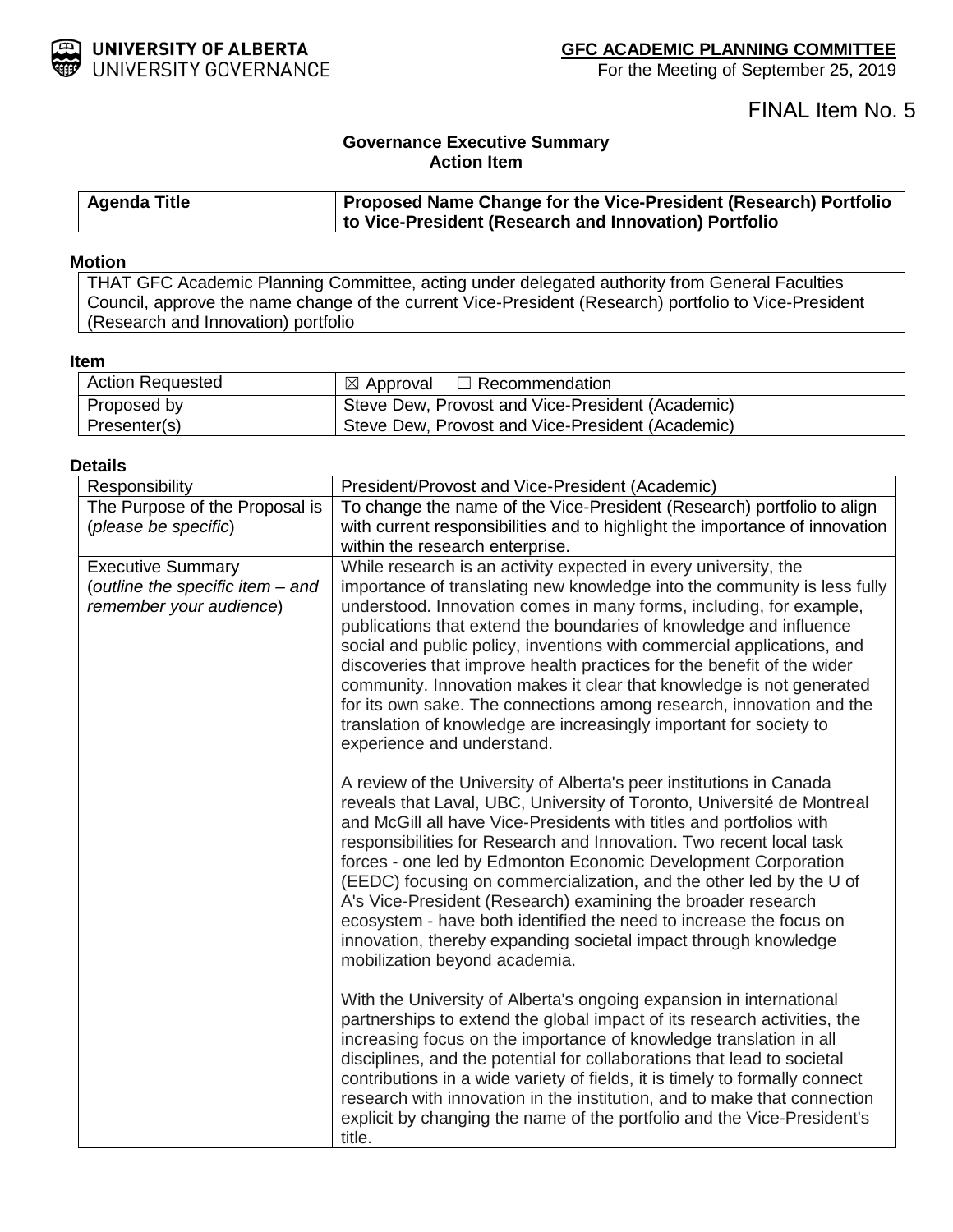

For the Meeting of September 25, 2019

FINAL Item No. 5

# **Governance Executive Summary Action Item**

| <b>Agenda Title</b> | <b>Proposed Name Change for the Vice-President (Research) Portfolio</b> |
|---------------------|-------------------------------------------------------------------------|
|                     | to Vice-President (Research and Innovation) Portfolio                   |

### **Motion**

THAT GFC Academic Planning Committee, acting under delegated authority from General Faculties Council, approve the name change of the current Vice-President (Research) portfolio to Vice-President (Research and Innovation) portfolio

## **Item**

| <b>Action Requested</b> | ⊠ Approval<br>$\Box$ Recommendation              |
|-------------------------|--------------------------------------------------|
| Proposed by             | Steve Dew, Provost and Vice-President (Academic) |
| Presenter(s)            | Steve Dew, Provost and Vice-President (Academic) |

## **Details**

| Responsibility                                                                          | President/Provost and Vice-President (Academic)                                                                                                                                                                                                                                                                                                                                                                                                                                                                                                                                                                                                                                                  |
|-----------------------------------------------------------------------------------------|--------------------------------------------------------------------------------------------------------------------------------------------------------------------------------------------------------------------------------------------------------------------------------------------------------------------------------------------------------------------------------------------------------------------------------------------------------------------------------------------------------------------------------------------------------------------------------------------------------------------------------------------------------------------------------------------------|
| The Purpose of the Proposal is                                                          | To change the name of the Vice-President (Research) portfolio to align                                                                                                                                                                                                                                                                                                                                                                                                                                                                                                                                                                                                                           |
| (please be specific)                                                                    | with current responsibilities and to highlight the importance of innovation                                                                                                                                                                                                                                                                                                                                                                                                                                                                                                                                                                                                                      |
|                                                                                         | within the research enterprise.                                                                                                                                                                                                                                                                                                                                                                                                                                                                                                                                                                                                                                                                  |
| <b>Executive Summary</b><br>(outline the specific item - and<br>remember your audience) | While research is an activity expected in every university, the<br>importance of translating new knowledge into the community is less fully<br>understood. Innovation comes in many forms, including, for example,<br>publications that extend the boundaries of knowledge and influence<br>social and public policy, inventions with commercial applications, and<br>discoveries that improve health practices for the benefit of the wider<br>community. Innovation makes it clear that knowledge is not generated<br>for its own sake. The connections among research, innovation and the<br>translation of knowledge are increasingly important for society to<br>experience and understand. |
|                                                                                         | A review of the University of Alberta's peer institutions in Canada<br>reveals that Laval, UBC, University of Toronto, Université de Montreal<br>and McGill all have Vice-Presidents with titles and portfolios with<br>responsibilities for Research and Innovation. Two recent local task<br>forces - one led by Edmonton Economic Development Corporation<br>(EEDC) focusing on commercialization, and the other led by the U of<br>A's Vice-President (Research) examining the broader research<br>ecosystem - have both identified the need to increase the focus on<br>innovation, thereby expanding societal impact through knowledge<br>mobilization beyond academia.                    |
|                                                                                         | With the University of Alberta's ongoing expansion in international<br>partnerships to extend the global impact of its research activities, the<br>increasing focus on the importance of knowledge translation in all<br>disciplines, and the potential for collaborations that lead to societal<br>contributions in a wide variety of fields, it is timely to formally connect<br>research with innovation in the institution, and to make that connection<br>explicit by changing the name of the portfolio and the Vice-President's<br>title.                                                                                                                                                 |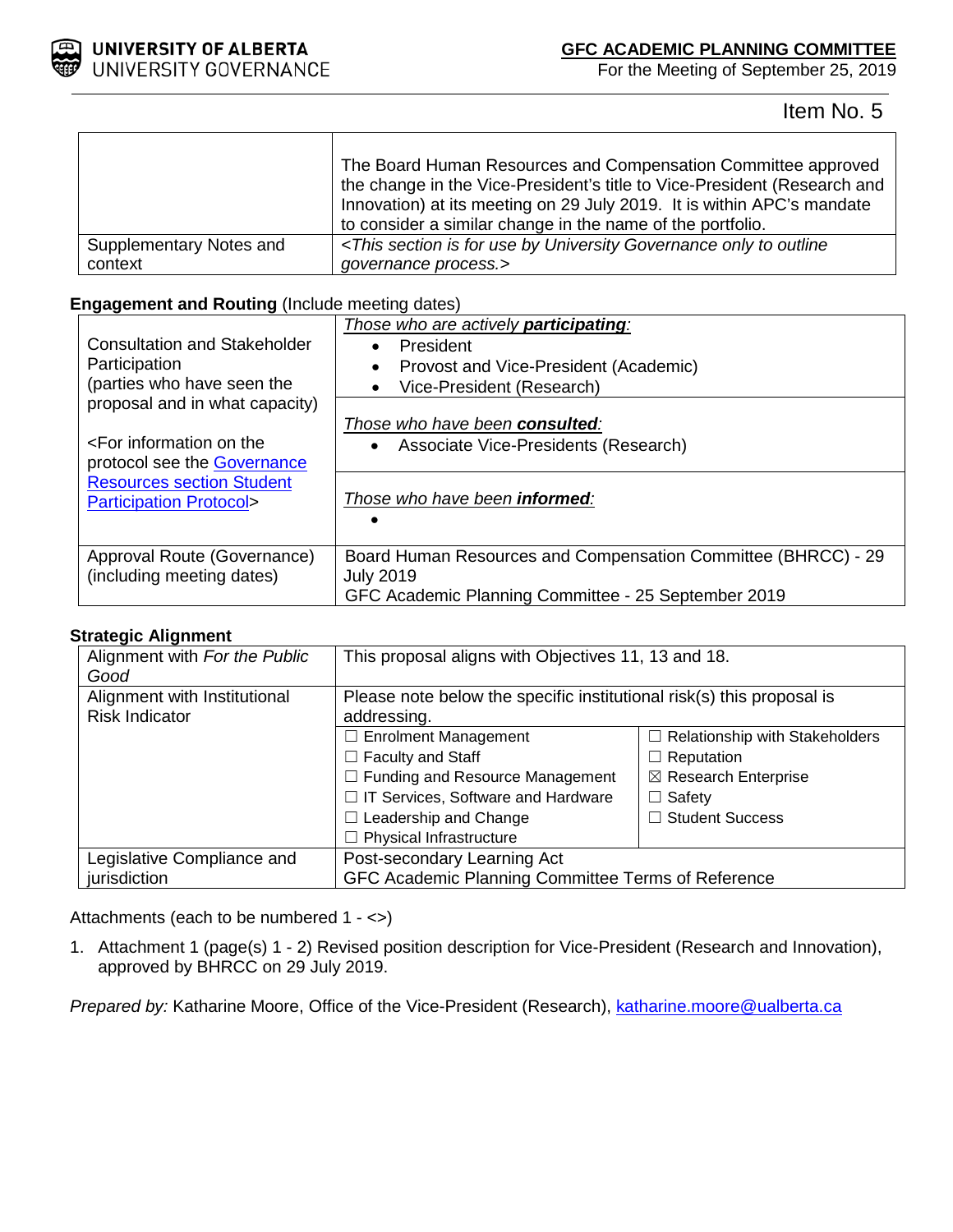

 $\Gamma$ 

# **GFC ACADEMIC PLANNING COMMITTEE**

For the Meeting of September 25, 2019

Item No. 5

|                         | The Board Human Resources and Compensation Committee approved<br>the change in the Vice-President's title to Vice-President (Research and<br>Innovation) at its meeting on 29 July 2019. It is within APC's mandate<br>to consider a similar change in the name of the portfolio. |
|-------------------------|-----------------------------------------------------------------------------------------------------------------------------------------------------------------------------------------------------------------------------------------------------------------------------------|
| Supplementary Notes and | <this by="" for="" governance="" is="" only="" outline<="" section="" td="" to="" university="" use=""></this>                                                                                                                                                                    |
| context                 | governance process.>                                                                                                                                                                                                                                                              |

# **Engagement and Routing** (Include meeting dates)

Τ

| Consultation and Stakeholder<br>Participation<br>(parties who have seen the                        | Those who are actively <b>participating</b> :<br>President<br>Provost and Vice-President (Academic)<br>Vice-President (Research)         |
|----------------------------------------------------------------------------------------------------|------------------------------------------------------------------------------------------------------------------------------------------|
| proposal and in what capacity)<br>$\epsilon$ For information on the<br>protocol see the Governance | Those who have been consulted:<br>• Associate Vice-Presidents (Research)                                                                 |
| <b>Resources section Student</b><br><b>Participation Protocol&gt;</b>                              | Those who have been <b>informed</b> :                                                                                                    |
| Approval Route (Governance)<br>(including meeting dates)                                           | Board Human Resources and Compensation Committee (BHRCC) - 29<br><b>July 2019</b><br>GFC Academic Planning Committee - 25 September 2019 |

# **Strategic Alignment**

| Alignment with For the Public | This proposal aligns with Objectives 11, 13 and 18.                   |                                       |
|-------------------------------|-----------------------------------------------------------------------|---------------------------------------|
| Good                          |                                                                       |                                       |
| Alignment with Institutional  | Please note below the specific institutional risk(s) this proposal is |                                       |
| <b>Risk Indicator</b>         | addressing.                                                           |                                       |
|                               | $\Box$ Enrolment Management                                           | $\Box$ Relationship with Stakeholders |
|                               | $\Box$ Faculty and Staff                                              | $\Box$ Reputation                     |
|                               | $\Box$ Funding and Resource Management                                | $\boxtimes$ Research Enterprise       |
|                               | □ IT Services, Software and Hardware                                  | $\Box$ Safety                         |
|                               | $\Box$ Leadership and Change                                          | $\Box$ Student Success                |
|                               | $\Box$ Physical Infrastructure                                        |                                       |
| Legislative Compliance and    | Post-secondary Learning Act                                           |                                       |
| jurisdiction                  | GFC Academic Planning Committee Terms of Reference                    |                                       |

Attachments (each to be numbered 1 - <>)

1. Attachment 1 (page(s) 1 - 2) Revised position description for Vice-President (Research and Innovation), approved by BHRCC on 29 July 2019.

*Prepared by:* Katharine Moore, Office of the Vice-President (Research), katharine.moore@ualberta.ca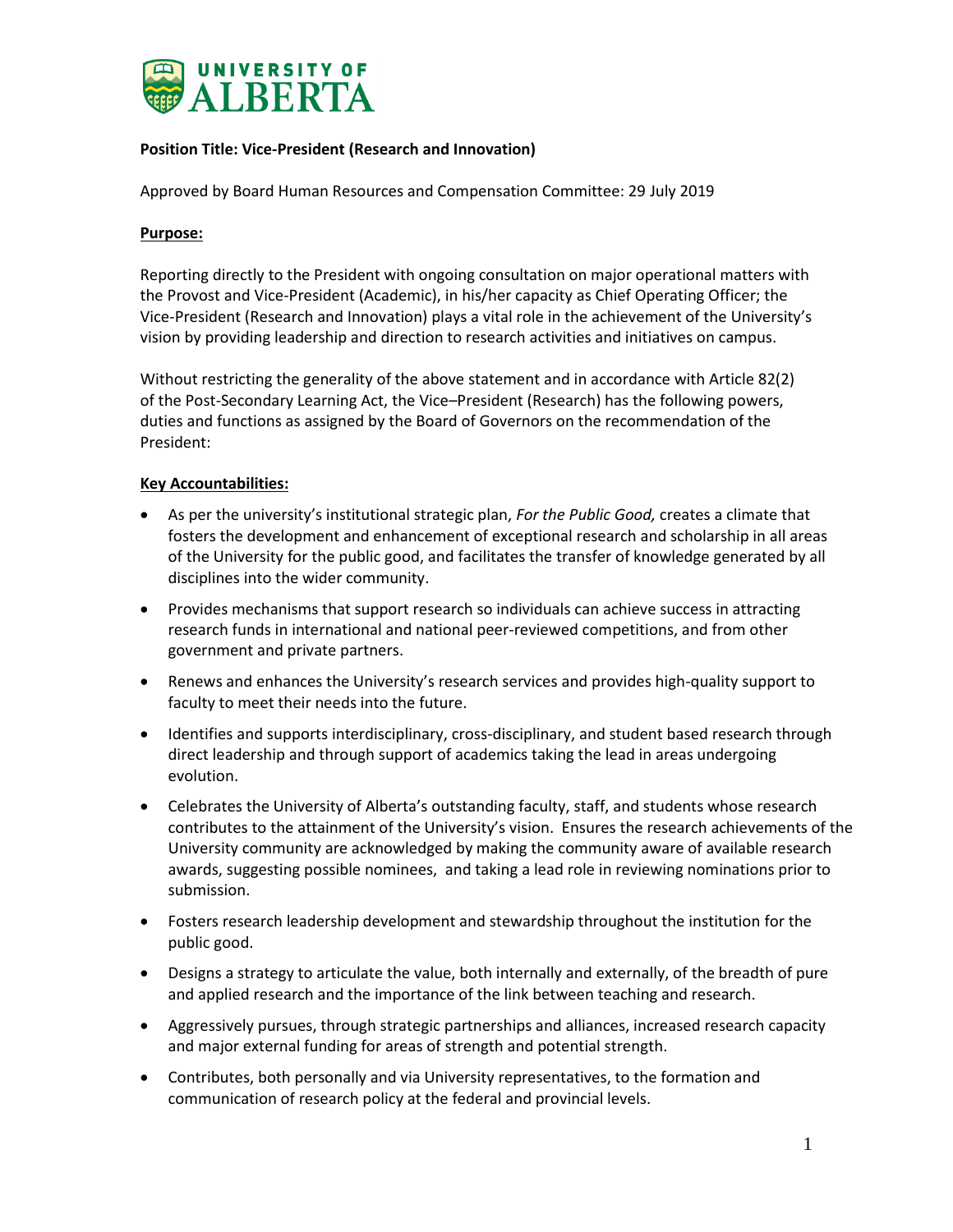

# **Position Title: Vice-President (Research and Innovation)**

Approved by Board Human Resources and Compensation Committee: 29 July 2019

### **Purpose:**

Reporting directly to the President with ongoing consultation on major operational matters with the Provost and Vice-President (Academic), in his/her capacity as Chief Operating Officer; the Vice-President (Research and Innovation) plays a vital role in the achievement of the University's vision by providing leadership and direction to research activities and initiatives on campus.

Without restricting the generality of the above statement and in accordance with Article 82(2) of the Post-Secondary Learning Act, the Vice–President (Research) has the following powers, duties and functions as assigned by the Board of Governors on the recommendation of the President:

## **Key Accountabilities:**

- As per the university's institutional strategic plan, *For the Public Good,* creates a climate that fosters the development and enhancement of exceptional research and scholarship in all areas of the University for the public good, and facilitates the transfer of knowledge generated by all disciplines into the wider community.
- Provides mechanisms that support research so individuals can achieve success in attracting research funds in international and national peer-reviewed competitions, and from other government and private partners.
- Renews and enhances the University's research services and provides high-quality support to faculty to meet their needs into the future.
- Identifies and supports interdisciplinary, cross-disciplinary, and student based research through direct leadership and through support of academics taking the lead in areas undergoing evolution.
- Celebrates the University of Alberta's outstanding faculty, staff, and students whose research contributes to the attainment of the University's vision. Ensures the research achievements of the University community are acknowledged by making the community aware of available research awards, suggesting possible nominees, and taking a lead role in reviewing nominations prior to submission.
- Fosters research leadership development and stewardship throughout the institution for the public good.
- Designs a strategy to articulate the value, both internally and externally, of the breadth of pure and applied research and the importance of the link between teaching and research.
- Aggressively pursues, through strategic partnerships and alliances, increased research capacity and major external funding for areas of strength and potential strength.
- Contributes, both personally and via University representatives, to the formation and communication of research policy at the federal and provincial levels.